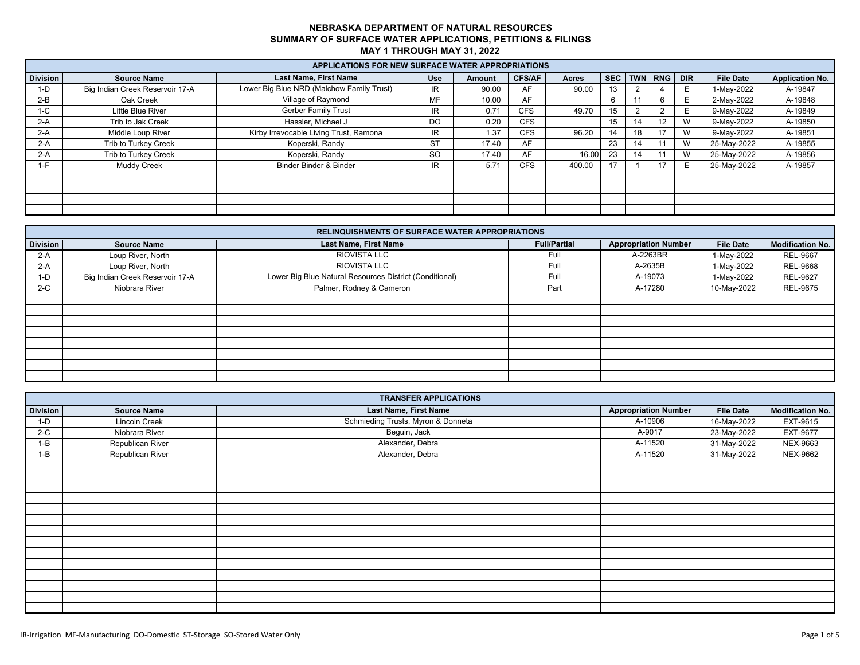|                 | <b>APPLICATIONS FOR NEW SURFACE WATER APPROPRIATIONS</b> |                                           |            |        |               |              |    |    |                  |    |                  |                        |
|-----------------|----------------------------------------------------------|-------------------------------------------|------------|--------|---------------|--------------|----|----|------------------|----|------------------|------------------------|
| <b>Division</b> | <b>Source Name</b>                                       | <b>Last Name, First Name</b>              | <b>Use</b> | Amount | <b>CFS/AF</b> | <b>Acres</b> |    |    | SEC TWN RNG DIR  |    | <b>File Date</b> | <b>Application No.</b> |
| $1-D$           | Big Indian Creek Reservoir 17-A                          | Lower Big Blue NRD (Malchow Family Trust) | IR         | 90.00  | AF            | 90.00        | 13 |    |                  | E. | 1-May-2022       | A-19847                |
| $2-B$           | Oak Creek                                                | Village of Raymond                        | MF         | 10.00  | AF            |              |    |    |                  | E  | 2-May-2022       | A-19848                |
| $1-C$           | Little Blue River                                        | <b>Gerber Family Trust</b>                | IR.        | 0.71   | <b>CFS</b>    | 49.70        | 15 |    |                  | E. | 9-May-2022       | A-19849                |
| $2-A$           | Trib to Jak Creek                                        | Hassler, Michael J                        | DO         | 0.20   | <b>CFS</b>    |              | 15 | 14 | 12 <sup>12</sup> | W  | 9-May-2022       | A-19850                |
| $2-A$           | Middle Loup River                                        | Kirby Irrevocable Living Trust, Ramona    | IR.        | 1.37   | <b>CFS</b>    | 96.20        | 14 | 18 |                  | W  | 9-May-2022       | A-19851                |
| $2-A$           | Trib to Turkey Creek                                     | Koperski, Randy                           | <b>ST</b>  | 17.40  | AF            |              | 23 | 14 |                  | W  | 25-May-2022      | A-19855                |
| $2-A$           | Trib to Turkey Creek                                     | Koperski, Randy                           | <b>SO</b>  | 17.40  | AF            | 16.00        | 23 | 14 |                  | W  | 25-May-2022      | A-19856                |
| $1-F$           | <b>Muddy Creek</b>                                       | Binder Binder & Binder                    | IR.        | 5.71   | <b>CFS</b>    | 400.00       | 17 |    |                  | E. | 25-May-2022      | A-19857                |
|                 |                                                          |                                           |            |        |               |              |    |    |                  |    |                  |                        |
|                 |                                                          |                                           |            |        |               |              |    |    |                  |    |                  |                        |
|                 |                                                          |                                           |            |        |               |              |    |    |                  |    |                  |                        |
|                 |                                                          |                                           |            |        |               |              |    |    |                  |    |                  |                        |

|          |                                 | <b>RELINQUISHMENTS OF SURFACE WATER APPROPRIATIONS</b>  |                     |                             |                  |                         |
|----------|---------------------------------|---------------------------------------------------------|---------------------|-----------------------------|------------------|-------------------------|
| Division | <b>Source Name</b>              | <b>Last Name, First Name</b>                            | <b>Full/Partial</b> | <b>Appropriation Number</b> | <b>File Date</b> | <b>Modification No.</b> |
| $2-A$    | Loup River, North               | RIOVISTA LLC                                            | Full                | A-2263BR                    | 1-May-2022       | <b>REL-9667</b>         |
| $2-A$    | Loup River, North               | RIOVISTA LLC                                            | Full                | A-2635B                     | 1-May-2022       | <b>REL-9668</b>         |
| $1-D$    | Big Indian Creek Reservoir 17-A | Lower Big Blue Natural Resources District (Conditional) | Full                | A-19073                     | 1-May-2022       | <b>REL-9627</b>         |
| $2-C$    | Niobrara River                  | Palmer, Rodney & Cameron                                | Part                | A-17280                     | 10-May-2022      | <b>REL-9675</b>         |
|          |                                 |                                                         |                     |                             |                  |                         |
|          |                                 |                                                         |                     |                             |                  |                         |
|          |                                 |                                                         |                     |                             |                  |                         |
|          |                                 |                                                         |                     |                             |                  |                         |
|          |                                 |                                                         |                     |                             |                  |                         |
|          |                                 |                                                         |                     |                             |                  |                         |
|          |                                 |                                                         |                     |                             |                  |                         |
|          |                                 |                                                         |                     |                             |                  |                         |

|                 | <b>TRANSFER APPLICATIONS</b> |                                    |                             |                  |                         |  |  |  |  |  |  |  |
|-----------------|------------------------------|------------------------------------|-----------------------------|------------------|-------------------------|--|--|--|--|--|--|--|
| <b>Division</b> | <b>Source Name</b>           | Last Name, First Name              | <b>Appropriation Number</b> | <b>File Date</b> | <b>Modification No.</b> |  |  |  |  |  |  |  |
| $1-D$           | Lincoln Creek                | Schmieding Trusts, Myron & Donneta | A-10906                     | 16-May-2022      | EXT-9615                |  |  |  |  |  |  |  |
| $2-C$           | Niobrara River               | Beguin, Jack                       | A-9017                      | 23-May-2022      | <b>EXT-9677</b>         |  |  |  |  |  |  |  |
| $1-B$           | Republican River             | Alexander, Debra                   | A-11520                     | 31-May-2022      | NEX-9663                |  |  |  |  |  |  |  |
| $1 - B$         | Republican River             | Alexander, Debra                   | A-11520                     | 31-May-2022      | NEX-9662                |  |  |  |  |  |  |  |
|                 |                              |                                    |                             |                  |                         |  |  |  |  |  |  |  |
|                 |                              |                                    |                             |                  |                         |  |  |  |  |  |  |  |
|                 |                              |                                    |                             |                  |                         |  |  |  |  |  |  |  |
|                 |                              |                                    |                             |                  |                         |  |  |  |  |  |  |  |
|                 |                              |                                    |                             |                  |                         |  |  |  |  |  |  |  |
|                 |                              |                                    |                             |                  |                         |  |  |  |  |  |  |  |
|                 |                              |                                    |                             |                  |                         |  |  |  |  |  |  |  |
|                 |                              |                                    |                             |                  |                         |  |  |  |  |  |  |  |
|                 |                              |                                    |                             |                  |                         |  |  |  |  |  |  |  |
|                 |                              |                                    |                             |                  |                         |  |  |  |  |  |  |  |
|                 |                              |                                    |                             |                  |                         |  |  |  |  |  |  |  |
|                 |                              |                                    |                             |                  |                         |  |  |  |  |  |  |  |
|                 |                              |                                    |                             |                  |                         |  |  |  |  |  |  |  |
|                 |                              |                                    |                             |                  |                         |  |  |  |  |  |  |  |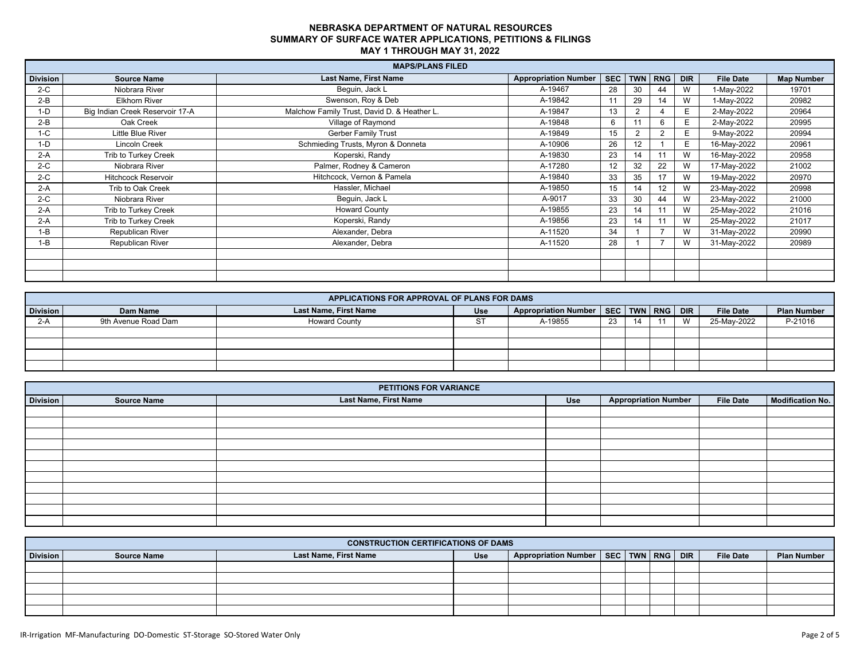|                 |                                 | <b>MAPS/PLANS FILED</b>                     |                             |     |    |                 |            |                  |                   |
|-----------------|---------------------------------|---------------------------------------------|-----------------------------|-----|----|-----------------|------------|------------------|-------------------|
| <b>Division</b> | <b>Source Name</b>              | <b>Last Name, First Name</b>                | <b>Appropriation Number</b> | SEC |    | TWN RNG         | <b>DIR</b> | <b>File Date</b> | <b>Map Number</b> |
| $2-C$           | Niobrara River                  | Bequin, Jack L                              | A-19467                     | 28  | 30 | 44              | W          | 1-May-2022       | 19701             |
| $2-B$           | <b>Elkhorn River</b>            | Swenson, Roy & Deb                          | A-19842                     | 11  | 29 | 14              | W          | 1-May-2022       | 20982             |
| $1-D$           | Big Indian Creek Reservoir 17-A | Malchow Family Trust, David D. & Heather L. | A-19847                     | 13  |    |                 | E.         | 2-May-2022       | 20964             |
| $2-B$           | Oak Creek                       | Village of Raymond                          | A-19848                     | 6   |    |                 | E.         | 2-May-2022       | 20995             |
| $1-C$           | Little Blue River               | <b>Gerber Family Trust</b>                  | A-19849                     | 15  |    |                 | E          | 9-May-2022       | 20994             |
| $1-D$           | Lincoln Creek                   | Schmieding Trusts, Myron & Donneta          | A-10906                     | 26  | 12 |                 | E.         | 16-May-2022      | 20961             |
| $2-A$           | Trib to Turkey Creek            | Koperski, Randy                             | A-19830                     | 23  | 14 |                 | W          | 16-May-2022      | 20958             |
| $2-C$           | Niobrara River                  | Palmer, Rodney & Cameron                    | A-17280                     | 12  | 32 | 22              | W          | 17-May-2022      | 21002             |
| $2-C$           | <b>Hitchcock Reservoir</b>      | Hitchcock, Vernon & Pamela                  | A-19840                     | 33  | 35 | 17              | W          | 19-May-2022      | 20970             |
| $2-A$           | Trib to Oak Creek               | Hassler, Michael                            | A-19850                     | 15  | 14 | 12 <sup>°</sup> | W          | 23-May-2022      | 20998             |
| $2-C$           | Niobrara River                  | Beguin, Jack L                              | A-9017                      | 33  | 30 | 44              | W          | 23-May-2022      | 21000             |
| $2-A$           | Trib to Turkey Creek            | <b>Howard County</b>                        | A-19855                     | 23  | 14 |                 | W          | 25-May-2022      | 21016             |
| $2-A$           | Trib to Turkey Creek            | Koperski, Randy                             | A-19856                     | 23  | 14 |                 | W          | 25-May-2022      | 21017             |
| $1 - B$         | Republican River                | Alexander, Debra                            | A-11520                     | 34  |    |                 | W          | 31-May-2022      | 20990             |
| I-B             | Republican River                | Alexander, Debra                            | A-11520                     | 28  |    |                 | W          | 31-May-2022      | 20989             |
|                 |                                 |                                             |                             |     |    |                 |            |                  |                   |
|                 |                                 |                                             |                             |     |    |                 |            |                  |                   |
|                 |                                 |                                             |                             |     |    |                 |            |                  |                   |

|          | APPLICATIONS FOR APPROVAL OF PLANS FOR DAMS |                              |            |                                              |    |  |  |   |                  |                    |
|----------|---------------------------------------------|------------------------------|------------|----------------------------------------------|----|--|--|---|------------------|--------------------|
| Division | Dam Name                                    | <b>Last Name, First Name</b> | <b>Use</b> | Appropriation Number   SEC   TWN   RNG   DIR |    |  |  |   | <b>File Date</b> | <b>Plan Number</b> |
| 2-A      | 9th Avenue Road Dam                         | <b>Howard County</b>         | ت          | A-19855                                      | 23 |  |  | M | 25-May-2022      | P-21016            |
|          |                                             |                              |            |                                              |    |  |  |   |                  |                    |
|          |                                             |                              |            |                                              |    |  |  |   |                  |                    |
|          |                                             |                              |            |                                              |    |  |  |   |                  |                    |
|          |                                             |                              |            |                                              |    |  |  |   |                  |                    |

|                 |                    | PETITIONS FOR VARIANCE |     |                             |                  |                  |
|-----------------|--------------------|------------------------|-----|-----------------------------|------------------|------------------|
| <b>Division</b> | <b>Source Name</b> | Last Name, First Name  | Use | <b>Appropriation Number</b> | <b>File Date</b> | Modification No. |
|                 |                    |                        |     |                             |                  |                  |
|                 |                    |                        |     |                             |                  |                  |
|                 |                    |                        |     |                             |                  |                  |
|                 |                    |                        |     |                             |                  |                  |
|                 |                    |                        |     |                             |                  |                  |
|                 |                    |                        |     |                             |                  |                  |
|                 |                    |                        |     |                             |                  |                  |
|                 |                    |                        |     |                             |                  |                  |
|                 |                    |                        |     |                             |                  |                  |
|                 |                    |                        |     |                             |                  |                  |
|                 |                    |                        |     |                             |                  |                  |

|          | <b>CONSTRUCTION CERTIFICATIONS OF DAMS</b> |                       |     |                                              |  |  |  |  |                  |                    |
|----------|--------------------------------------------|-----------------------|-----|----------------------------------------------|--|--|--|--|------------------|--------------------|
| Division | <b>Source Name</b>                         | Last Name, First Name | Use | Appropriation Number   SEC   TWN   RNG   DIR |  |  |  |  | <b>File Date</b> | <b>Plan Number</b> |
|          |                                            |                       |     |                                              |  |  |  |  |                  |                    |
|          |                                            |                       |     |                                              |  |  |  |  |                  |                    |
|          |                                            |                       |     |                                              |  |  |  |  |                  |                    |
|          |                                            |                       |     |                                              |  |  |  |  |                  |                    |
|          |                                            |                       |     |                                              |  |  |  |  |                  |                    |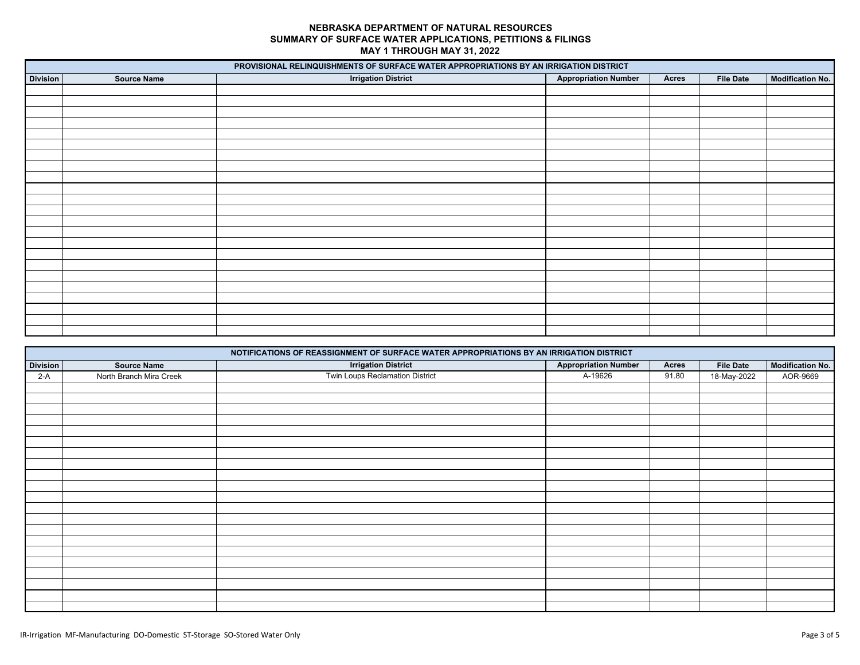|                 |                    | PROVISIONAL RELINQUISHMENTS OF SURFACE WATER APPROPRIATIONS BY AN IRRIGATION DISTRICT |                             |       |                  |                         |
|-----------------|--------------------|---------------------------------------------------------------------------------------|-----------------------------|-------|------------------|-------------------------|
| <b>Division</b> | <b>Source Name</b> | <b>Irrigation District</b>                                                            | <b>Appropriation Number</b> | Acres | <b>File Date</b> | <b>Modification No.</b> |
|                 |                    |                                                                                       |                             |       |                  |                         |
|                 |                    |                                                                                       |                             |       |                  |                         |
|                 |                    |                                                                                       |                             |       |                  |                         |
|                 |                    |                                                                                       |                             |       |                  |                         |
|                 |                    |                                                                                       |                             |       |                  |                         |
|                 |                    |                                                                                       |                             |       |                  |                         |
|                 |                    |                                                                                       |                             |       |                  |                         |
|                 |                    |                                                                                       |                             |       |                  |                         |
|                 |                    |                                                                                       |                             |       |                  |                         |
|                 |                    |                                                                                       |                             |       |                  |                         |
|                 |                    |                                                                                       |                             |       |                  |                         |
|                 |                    |                                                                                       |                             |       |                  |                         |
|                 |                    |                                                                                       |                             |       |                  |                         |
|                 |                    |                                                                                       |                             |       |                  |                         |
|                 |                    |                                                                                       |                             |       |                  |                         |
|                 |                    |                                                                                       |                             |       |                  |                         |
|                 |                    |                                                                                       |                             |       |                  |                         |
|                 |                    |                                                                                       |                             |       |                  |                         |
|                 |                    |                                                                                       |                             |       |                  |                         |
|                 |                    |                                                                                       |                             |       |                  |                         |
|                 |                    |                                                                                       |                             |       |                  |                         |
|                 |                    |                                                                                       |                             |       |                  |                         |
|                 |                    |                                                                                       |                             |       |                  |                         |

|                 |                         | NOTIFICATIONS OF REASSIGNMENT OF SURFACE WATER APPROPRIATIONS BY AN IRRIGATION DISTRICT |                             |              |                  |                         |
|-----------------|-------------------------|-----------------------------------------------------------------------------------------|-----------------------------|--------------|------------------|-------------------------|
| <b>Division</b> | <b>Source Name</b>      | <b>Irrigation District</b>                                                              | <b>Appropriation Number</b> | <b>Acres</b> | <b>File Date</b> | <b>Modification No.</b> |
| $2-A$           | North Branch Mira Creek | Twin Loups Reclamation District                                                         | A-19626                     | 91.80        | 18-May-2022      | AOR-9669                |
|                 |                         |                                                                                         |                             |              |                  |                         |
|                 |                         |                                                                                         |                             |              |                  |                         |
|                 |                         |                                                                                         |                             |              |                  |                         |
|                 |                         |                                                                                         |                             |              |                  |                         |
|                 |                         |                                                                                         |                             |              |                  |                         |
|                 |                         |                                                                                         |                             |              |                  |                         |
|                 |                         |                                                                                         |                             |              |                  |                         |
|                 |                         |                                                                                         |                             |              |                  |                         |
|                 |                         |                                                                                         |                             |              |                  |                         |
|                 |                         |                                                                                         |                             |              |                  |                         |
|                 |                         |                                                                                         |                             |              |                  |                         |
|                 |                         |                                                                                         |                             |              |                  |                         |
|                 |                         |                                                                                         |                             |              |                  |                         |
|                 |                         |                                                                                         |                             |              |                  |                         |
|                 |                         |                                                                                         |                             |              |                  |                         |
|                 |                         |                                                                                         |                             |              |                  |                         |
|                 |                         |                                                                                         |                             |              |                  |                         |
|                 |                         |                                                                                         |                             |              |                  |                         |
|                 |                         |                                                                                         |                             |              |                  |                         |
|                 |                         |                                                                                         |                             |              |                  |                         |
|                 |                         |                                                                                         |                             |              |                  |                         |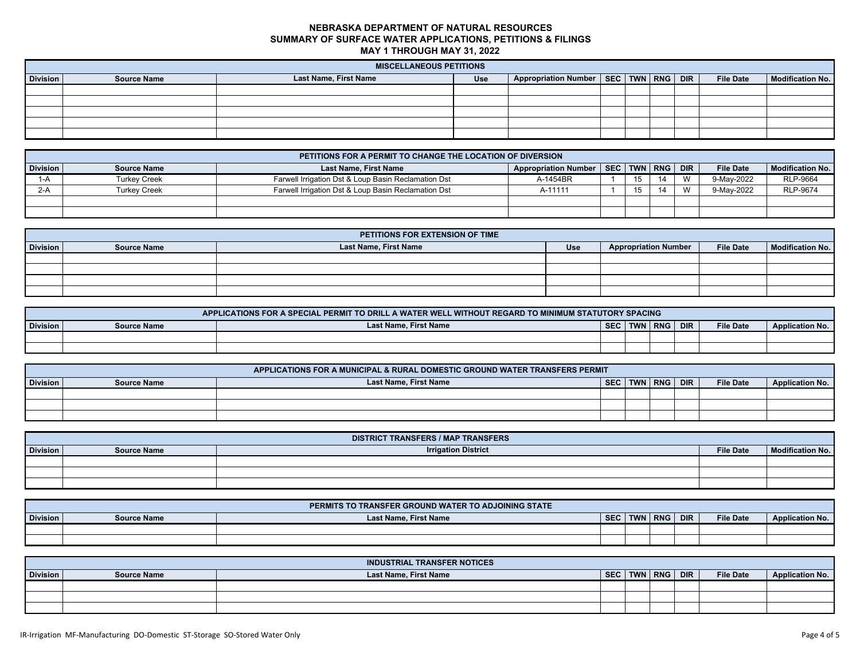|          | <b>MISCELLANEOUS PETITIONS</b> |                       |            |                                              |  |  |  |  |                  |                         |
|----------|--------------------------------|-----------------------|------------|----------------------------------------------|--|--|--|--|------------------|-------------------------|
| Division | <b>Source Name</b>             | Last Name, First Name | <b>Use</b> | Appropriation Number   SEC   TWN   RNG   DIR |  |  |  |  | <b>File Date</b> | <b>Modification No.</b> |
|          |                                |                       |            |                                              |  |  |  |  |                  |                         |
|          |                                |                       |            |                                              |  |  |  |  |                  |                         |
|          |                                |                       |            |                                              |  |  |  |  |                  |                         |
|          |                                |                       |            |                                              |  |  |  |  |                  |                         |
|          |                                |                       |            |                                              |  |  |  |  |                  |                         |

|                 | PETITIONS FOR A PERMIT TO CHANGE THE LOCATION OF DIVERSION |                                                     |                                              |  |  |    |              |                  |                         |  |
|-----------------|------------------------------------------------------------|-----------------------------------------------------|----------------------------------------------|--|--|----|--------------|------------------|-------------------------|--|
| <b>Division</b> | <b>Source Name</b>                                         | <b>Last Name, First Name</b>                        | Appropriation Number   SEC   TWN   RNG   DIR |  |  |    |              | <b>File Date</b> | <b>Modification No.</b> |  |
|                 | Turkev Creek                                               | Farwell Irrigation Dst & Loup Basin Reclamation Dst | A-1454BR                                     |  |  | 11 | $\mathbf{M}$ | 9-May-2022       | <b>RLP-9664</b>         |  |
| $2-A$           | <b>Turkev Creek</b>                                        | Farwell Irrigation Dst & Loup Basin Reclamation Dst | A-11111                                      |  |  | 11 | $\mathbf{M}$ | 9-May-2022       | <b>RLP-9674</b>         |  |
|                 |                                                            |                                                     |                                              |  |  |    |              |                  |                         |  |
|                 |                                                            |                                                     |                                              |  |  |    |              |                  |                         |  |

|          | PETITIONS FOR EXTENSION OF TIME |                       |     |                             |                  |                  |  |  |  |  |  |
|----------|---------------------------------|-----------------------|-----|-----------------------------|------------------|------------------|--|--|--|--|--|
| Division | <b>Source Name</b>              | Last Name, First Name | Use | <b>Appropriation Number</b> | <b>File Date</b> | Modification No. |  |  |  |  |  |
|          |                                 |                       |     |                             |                  |                  |  |  |  |  |  |
|          |                                 |                       |     |                             |                  |                  |  |  |  |  |  |
|          |                                 |                       |     |                             |                  |                  |  |  |  |  |  |
|          |                                 |                       |     |                             |                  |                  |  |  |  |  |  |

|          | APPLICATIONS FOR A SPECIAL PERMIT TO DRILL A WATER WELL WITHOUT REGARD TO MINIMUM STATUTORY SPACING |                       |            |  |             |  |                  |                        |  |  |  |
|----------|-----------------------------------------------------------------------------------------------------|-----------------------|------------|--|-------------|--|------------------|------------------------|--|--|--|
| Division | <b>Source Name</b>                                                                                  | Last Name, First Name | <b>SEC</b> |  | TWN RNG DIR |  | <b>File Date</b> | <b>Application No.</b> |  |  |  |
|          |                                                                                                     |                       |            |  |             |  |                  |                        |  |  |  |
|          |                                                                                                     |                       |            |  |             |  |                  |                        |  |  |  |

| APPLICATIONS FOR A MUNICIPAL & RURAL DOMESTIC GROUND WATER TRANSFERS PERMIT |                    |                       |            |  |         |            |                  |                        |  |  |
|-----------------------------------------------------------------------------|--------------------|-----------------------|------------|--|---------|------------|------------------|------------------------|--|--|
| Division                                                                    | <b>Source Name</b> | Last Name, First Name | <b>SEC</b> |  | TWN RNG | <b>DIR</b> | <b>File Date</b> | <b>Application No.</b> |  |  |
|                                                                             |                    |                       |            |  |         |            |                  |                        |  |  |
|                                                                             |                    |                       |            |  |         |            |                  |                        |  |  |
|                                                                             |                    |                       |            |  |         |            |                  |                        |  |  |

|                 | <b>DISTRICT TRANSFERS / MAP TRANSFERS</b> |                            |                  |                         |  |  |  |  |  |  |  |  |
|-----------------|-------------------------------------------|----------------------------|------------------|-------------------------|--|--|--|--|--|--|--|--|
| <b>Division</b> | <b>Source Name</b>                        | <b>Irrigation District</b> | <b>File Date</b> | <b>Modification No.</b> |  |  |  |  |  |  |  |  |
|                 |                                           |                            |                  |                         |  |  |  |  |  |  |  |  |
|                 |                                           |                            |                  |                         |  |  |  |  |  |  |  |  |
|                 |                                           |                            |                  |                         |  |  |  |  |  |  |  |  |

|                 |                    | PERMITS TO TRANSFER GROUND WATER TO ADJOINING STATE |            |           |            |                  |                        |
|-----------------|--------------------|-----------------------------------------------------|------------|-----------|------------|------------------|------------------------|
| <b>Division</b> | <b>Source Name</b> | <b>Last Name, First Name</b>                        | <b>SEC</b> | TWN   RNG | <b>DIR</b> | <b>File Date</b> | <b>Application No.</b> |
|                 |                    |                                                     |            |           |            |                  |                        |
|                 |                    |                                                     |            |           |            |                  |                        |

|                 |                    | <b>INDUSTRIAL TRANSFER NOTICES</b> |            |                    |                  |                        |
|-----------------|--------------------|------------------------------------|------------|--------------------|------------------|------------------------|
| <b>Division</b> | <b>Source Name</b> | <b>Last Name, First Name</b>       | <b>SEC</b> | <b>TWN RNG DIR</b> | <b>File Date</b> | <b>Application No.</b> |
|                 |                    |                                    |            |                    |                  |                        |
|                 |                    |                                    |            |                    |                  |                        |
|                 |                    |                                    |            |                    |                  |                        |